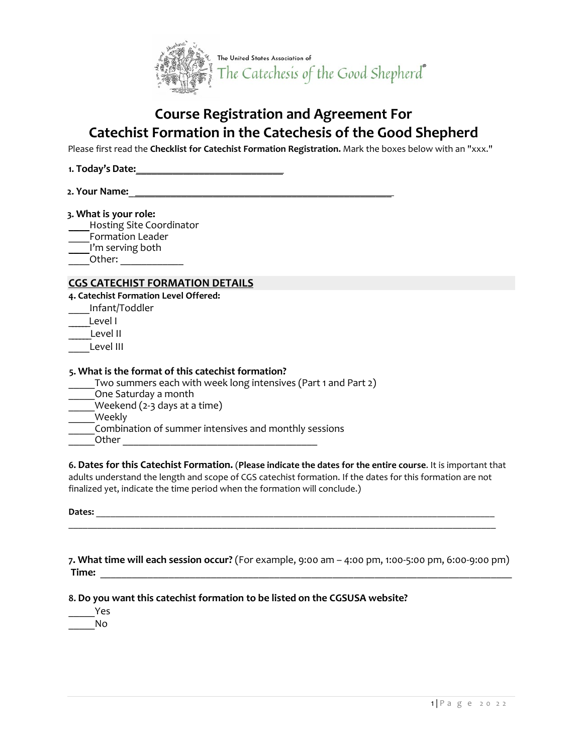

# **Course Registration and Agreement For Catechist Formation in the Catechesis of the Good Shepherd**

Please first read the **Checklist for Catechist Formation Registration.** Mark the boxes below with an "xxx."

- **1. Today's Date:**\_\_\_\_\_\_\_\_\_\_\_\_\_\_\_\_\_\_\_\_\_\_\_\_\_\_\_\_
- **2. Your Name:**\_\_\_\_\_\_\_\_\_\_\_\_\_\_\_\_\_\_\_\_\_\_\_\_\_\_\_\_\_\_\_\_\_\_\_\_\_\_\_\_\_\_\_\_\_\_\_\_\_\_

#### **3. What is your role:**

- \_\_\_\_Hosting Site Coordinator
- Formation Leader
- I'm serving both

 $Other:$ 

## **CGS CATECHIST FORMATION DETAILS**

- **4. Catechist Formation Level Offered:**
- \_\_\_\_Infant/Toddler
- Level I

Level II

Level III

### **5. What is the format of this catechist formation?**

Two summers each with week long intensives (Part 1 and Part 2) \_\_\_\_\_One Saturday a month Weekend (2-3 days at a time) Weekly \_\_\_\_\_Combination of summer intensives and monthly sessions \_\_\_\_\_Other \_\_\_\_\_\_\_\_\_\_\_\_\_\_\_\_\_\_\_\_\_\_\_\_\_\_\_\_\_\_\_\_\_\_\_\_\_

**6. Dates for this Catechist Formation.** (**Please indicate the dates for the entire course**. It is important that adults understand the length and scope of CGS catechist formation. If the dates for this formation are not finalized yet, indicate the time period when the formation will conclude.)

\_\_\_\_\_\_\_\_\_\_\_\_\_\_\_\_\_\_\_\_\_\_\_\_\_\_\_\_\_\_\_\_\_\_\_\_\_\_\_\_\_\_\_\_\_\_\_\_\_\_\_\_\_\_\_\_\_\_\_\_\_\_\_\_\_\_\_\_\_\_\_\_\_\_\_\_\_\_\_\_\_\_\_\_\_\_\_\_\_

Dates:

**7. What time will each session occur?** (For example, 9:00 am – 4:00 pm, 1:00-5:00 pm, 6:00-9:00 pm) **Time:** \_\_\_\_\_\_\_\_\_\_\_\_\_\_\_\_\_\_\_\_\_\_\_\_\_\_\_\_\_\_\_\_\_\_\_\_\_\_\_\_\_\_\_\_\_\_\_\_\_\_\_\_\_\_\_\_\_\_\_\_\_\_\_\_\_\_\_\_\_\_\_\_\_\_\_\_\_\_

**8. Do you want this catechist formation to be listed on the CGSUSA website?**

\_\_\_\_\_Yes \_\_\_\_\_No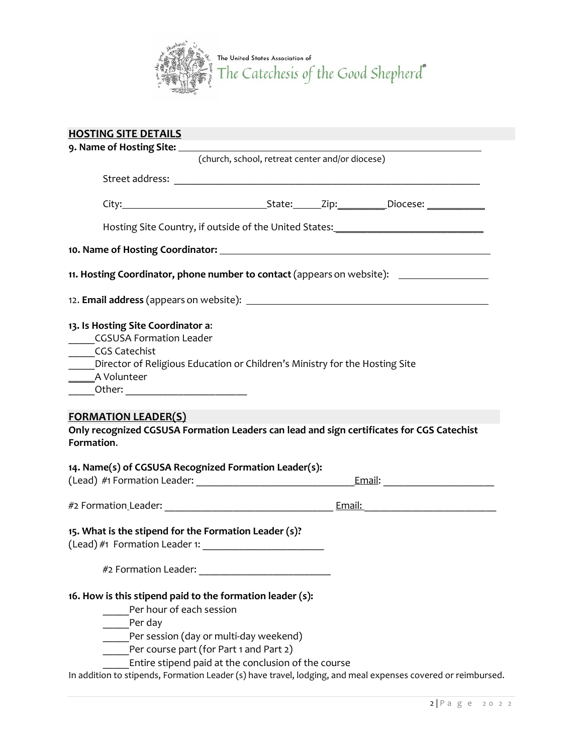

| <b>HOSTING SITE DETAILS</b>                                                                                                                                                                                                                                                                                                                                  |  |
|--------------------------------------------------------------------------------------------------------------------------------------------------------------------------------------------------------------------------------------------------------------------------------------------------------------------------------------------------------------|--|
| 9. Name of Hosting Site: __                                                                                                                                                                                                                                                                                                                                  |  |
| (church, school, retreat center and/or diocese)                                                                                                                                                                                                                                                                                                              |  |
|                                                                                                                                                                                                                                                                                                                                                              |  |
|                                                                                                                                                                                                                                                                                                                                                              |  |
| Hosting Site Country, if outside of the United States: _________________________                                                                                                                                                                                                                                                                             |  |
|                                                                                                                                                                                                                                                                                                                                                              |  |
| 11. Hosting Coordinator, phone number to contact (appears on website): _______________                                                                                                                                                                                                                                                                       |  |
|                                                                                                                                                                                                                                                                                                                                                              |  |
| 13. Is Hosting Site Coordinator a:<br>CGSUSA Formation Leader<br><b>CGS Catechist</b><br>Director of Religious Education or Children's Ministry for the Hosting Site<br>_______A Volunteer<br>_Other: ____________________________<br><b>FORMATION LEADER(S)</b>                                                                                             |  |
| Only recognized CGSUSA Formation Leaders can lead and sign certificates for CGS Catechist<br>Formation.                                                                                                                                                                                                                                                      |  |
| 14. Name(s) of CGSUSA Recognized Formation Leader(s):                                                                                                                                                                                                                                                                                                        |  |
|                                                                                                                                                                                                                                                                                                                                                              |  |
| 15. What is the stipend for the Formation Leader (s)?                                                                                                                                                                                                                                                                                                        |  |
|                                                                                                                                                                                                                                                                                                                                                              |  |
| 16. How is this stipend paid to the formation leader (s):<br>Per hour of each session<br>Per day<br>Per session (day or multi-day weekend)<br>Per course part (for Part 1 and Part 2)<br>Entire stipend paid at the conclusion of the course<br>In addition to stipends, Formation Leader (s) have travel, lodging, and meal expenses covered or reimbursed. |  |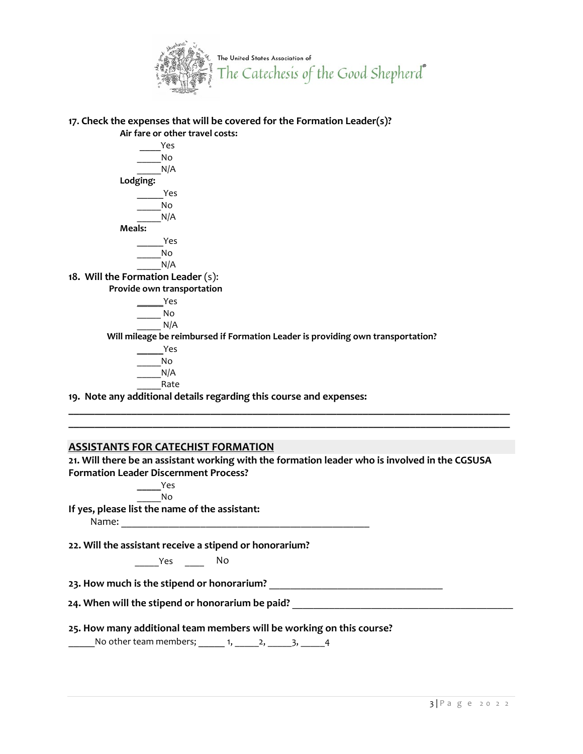

**17. Check the expenses that will be covered for the Formation Leader(s)? Air fare or other travel costs:** 

> \_\_\_\_Yes \_\_\_\_\_No  $N/A$ **Lodging:** \_\_\_\_\_Yes \_\_\_\_\_No  $N/A$ **Meals:** \_\_\_\_\_Yes \_\_\_\_\_No  $N/A$

**18. Will the Formation Leader** (s):

**Provide own transportation**

\_\_\_\_\_Yes \_\_\_\_\_ No  $N/A$ **Will mileage be reimbursed if Formation Leader is providing own transportation? \_\_\_\_\_**Yes

\_\_\_\_\_No  $N/A$ \_\_\_\_\_Rate

**19. Note any additional details regarding this course and expenses:**

# **ASSISTANTS FOR CATECHIST FORMATION**

**21. Will there be an assistant working with the formation leader who is involved in the CGSUSA Formation Leader Discernment Process?**

**\_\_\_\_\_\_\_\_\_\_\_\_\_\_\_\_\_\_\_\_\_\_\_\_\_\_\_\_\_\_\_\_\_\_\_\_\_\_\_\_\_\_\_\_\_\_\_\_\_\_\_\_\_\_\_\_\_\_\_\_\_\_\_\_\_\_\_\_\_\_\_\_\_\_\_\_\_\_\_\_\_\_\_\_ \_\_\_\_\_\_\_\_\_\_\_\_\_\_\_\_\_\_\_\_\_\_\_\_\_\_\_\_\_\_\_\_\_\_\_\_\_\_\_\_\_\_\_\_\_\_\_\_\_\_\_\_\_\_\_\_\_\_\_\_\_\_\_\_\_\_\_\_\_\_\_\_\_\_\_\_\_\_\_\_\_\_\_\_**

> **\_\_\_\_\_**Yes  $\overline{N}$ o

**If yes, please list the name of the assistant:** 

Name: \_\_\_\_\_\_\_\_\_\_\_\_\_\_\_\_\_\_\_\_\_\_\_\_\_\_\_\_\_\_\_\_\_\_\_\_\_\_\_\_\_\_\_\_\_\_\_

**22. Will the assistant receive a stipend or honorarium?**

\_\_\_\_\_Yes \_\_\_\_ No

**23. How much is the stipend or honorarium?** \_\_\_\_\_\_\_\_\_\_\_\_\_\_\_\_\_\_\_\_\_\_\_\_\_\_\_\_\_\_\_\_\_

**24. When will the stipend or honorarium be paid?** \_\_\_\_\_\_\_\_\_\_\_\_\_\_\_\_\_\_\_\_\_\_\_\_\_\_\_\_\_\_\_\_\_\_\_\_\_\_\_\_\_\_

# **25. How many additional team members will be working on this course?**

 $\frac{1}{2}$ No other team members;  $\frac{1}{2}$ ,  $\frac{2}{2}$ ,  $\frac{3}{2}$ ,  $\frac{4}{4}$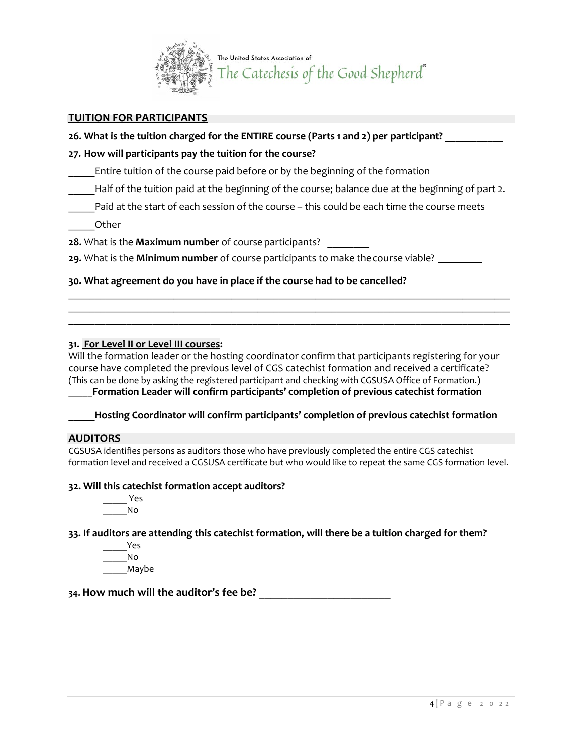

# **TUITION FOR PARTICIPANTS**

# **26. What is the tuition charged for the ENTIRE course (Parts 1 and 2) per participant?** \_\_\_\_\_\_\_\_\_\_\_

## **27. How will participants pay the tuition for the course?**

Entire tuition of the course paid before or by the beginning of the formation

Half of the tuition paid at the beginning of the course; balance due at the beginning of part 2.

Paid at the start of each session of the course – this could be each time the course meets

\_\_\_\_\_Other

**28.** What is the **Maximum number** of course participants? \_\_\_\_\_\_\_\_

**29.** What is the **Minimum number** of course participants to make the course viable?

**30. What agreement do you have in place if the course had to be cancelled?**

### **31. For Level II or Level III courses:**

Will the formation leader or the hosting coordinator confirm that participants registering for your course have completed the previous level of CGS catechist formation and received a certificate? (This can be done by asking the registered participant and checking with CGSUSA Office of Formation.) \_\_\_\_\_**Formation Leader will confirm participants' completion of previous catechist formation**

 $\_$  , and the state of the state of the state of the state of the state of the state of the state of the state of the state of the state of the state of the state of the state of the state of the state of the state of the  $\_$  , and the state of the state of the state of the state of the state of the state of the state of the state of the state of the state of the state of the state of the state of the state of the state of the state of the  $\_$  , and the state of the state of the state of the state of the state of the state of the state of the state of the state of the state of the state of the state of the state of the state of the state of the state of the

\_\_\_\_\_**Hosting Coordinator will confirm participants' completion of previous catechist formation**

### **AUDITORS**

CGSUSA identifies persons as auditors those who have previously completed the entire CGS catechist formation level and received a CGSUSA certificate but who would like to repeat the same CGS formation level.

### **32. Will this catechist formation accept auditors?**

**\_\_\_\_\_** Yes  $\overline{\mathsf{N}}$ o

**33. If auditors are attending this catechist formation, will there be a tuition charged for them?**

**\_\_\_\_\_**Yes \_\_\_\_\_No \_\_\_\_\_Maybe

**34. How much will the auditor's fee be?** \_\_\_\_\_\_\_\_\_\_\_\_\_\_\_\_\_\_\_\_\_\_\_